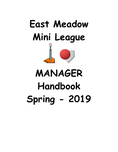

# **MANAGER Handbook Spring - 2019**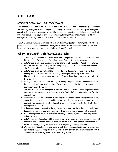# <span id="page-2-0"></span>**THE TEAM**

## <span id="page-2-1"></span>*IMPORTANCE OF THE MANAGER*

This section is included in this manual to assist new managers and to establish guidelines for the existing managers of Mini League. It is highly recommended that first year managers consult with returning managers in the Mini League, as these individuals have been involved with the league for a number of years. Returning managers are encouraged to aid new managers by advising them in areas when they request assistance.

The Mini League Manager is probably the most important factor in determining whether a player has a successful experience. Everyone is aware of the potential benefits that can be earned by players who participate in Kickball and Tee Ball.

### <span id="page-2-2"></span>*TEAM MANAGER RESPONSIBILITIES*

- 1. All Managers, Coaches and Volunteers must complete a volunteer application as per Little League International Guidelines. See Page 14 for more information
- 2. All Managers will have a complete understanding of the rule of Mini League play as set forth in the official regulations and playing rules set forth in this section and the Official Mini League rulebook.
- 3. All Managers will be responsible for maintaining discipline both on the field and among the spectators, and will encourage good sportsmanship at all times. Harassment from one team or spectator(s) toward another team or player will not be allowed.
- 4. Managers will allow no one in the dugout during the game except team members one bench coach and two field coaches. Players shall remain in the dugout unless participating in the game.
- 5. Without exception, all managers will inspect and make certain that all players wear and use protective gear as prescribed in the Official Mini League rulebook for the current year.
- 6. Managers, along with all others in the dugout, will refrain from using tobacco in any form. No manager or coach shall be under the influence of intoxicants or use profanity or conduct himself or herself in any manner detrimental to EMML while acting in this capacity.
- 7. All managers are responsible during the game to see that bats, helmets, balls, and loose equipment are kept off the playing field and properly placed in the dugout.
- 8. Each Manager will have a minimum of four (4) eligible players ready to play at the scheduled starting time.
- 9. All Managers and coaches will be responsible for attending all pre-season clinics and meetings and any other periodic meetings called during the season. Attendance is based on the sign in log distributed at the beginning of every meeting.
- 10. Managers and Coaches are expressly prohibited from: cursing in front of players or spectators; man-handling any player; being overly critical of a player in front of his teammates, or violating any official Mini League Rule.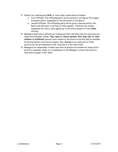- 11. Penalty for violating any EMML or local rules is described as follows:
	- a. First Offense: The offending party will be warned in writing by the League President and/or suspended at the discretion of the Board.
	- b. Second Offense: The offending party will be given a hearing before the Board and informed, in writing, of their penalty. Penalties can include suspension for one or more games up to the entire season or from EMML entirely.
- 12. Managers must have a definite pre-announced start and stop time for practices and follow this schedule closely. **They need to inform parents that drop offs of their children is prohibited**, parents must remain at the practice location and be available 10 minutes before the practice begins. Also, Managers are expected to finish practice by the pre-announced time. Courtesy is a two-way street.
- 13. Managers are responsible to make sure that all players are headed for home with a parent or guardian. Under no circumstances is the Manager to leave the practice area while a player is left alone.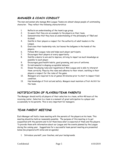## <span id="page-4-0"></span>*MANAGER & COACH CONDUCT*

The men and women who manage Mini League Teams are almost always people of outstanding character. They reflect the following characteristics:

- 1. Reflects an understanding of the team's age group.
- 2. Is aware that they are an example to the players on their team.
- 3. Demonstrates that they have an understanding of the philosophy of TBall and Kickball.
- 4. Instills in their players a respect for the authority of adult leaders in the League.
- 5. Exercises their leadership role, but leaves the ballgame in the hands of the players.
- 6. Follows Mini League rules and helps each player participate.
- 7. Encourages their players at every opportunity.
- 8. Instills a desire to win and to improve, striving to impart as much knowledge as possible to each player.
- 9. Encourages good health habits, good grooming, and care of uniforms.
- 10. Is instrumental in shaping acceptable behavior
- 11. Knows the playing rules and regulations of Mini League and is able to interpret them correctly. Plays by the rules and adheres to their intent, instilling in their players a respect for the rules of the game.
- 12. Managers are required to be at games 30 minutes prior to start to inspect field condition.
- 13. Has knowledge of first aid and safety. Mangers must maintain a First Aid Kit for the team.

## <span id="page-4-1"></span>*NOTIFICATION OF PLAYERS/TEAM PARENTS*

The Manager should notify all players of their selection to a team, within 48 hours of the receiving roster. Selection to a team is a moment of great anticipation to a player and occasionally to his parents. This is very important for managers.

## <span id="page-4-2"></span>*TEAM PARENT MEETING*

Each Manager will hold a team meeting with the parents of the players on his team. This meeting should be held as reasonably possible. The purpose of this meeting is to get acquainted with the parents and to let them know what is expected of them and the players. To provide them with information about our League and the events planned by the League during the coming year. Suggestions for a successful team parent meeting are presented below (be prepared with notes and an agenda):

1. Introduce yourself, your Coaches, and your backgrounds.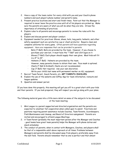- 2. Have a copy of the team roster for every child with you and your Coach's phone numbers and each player's phone number and parent's name.
- 3. Present practice locations and start and finish times. Point out that the Manager is required to never leave the practice area until all of his players are picked up. Make sure the parents are aware of what you will do when they are late. Stress the importance of attending all practices.
- 4. Explain rules to all parents and encourage parents to review the rules with the players.
- 5. Explain and discuss parent and player conduct.
- 6. Equipment needed for practices: Gloves, shoes, hats, long pants, helmets, and other safety equipment such as a protective cup or chest protector. Require clean and complete uniforms for every game. Often parents will have questions regarding equipment. Here are responses that can be provided to parents:
	- Bats (T-Ball): Bats are provided by the team. However, if you choose to purchase your own bat, it must have the "T Ball" and USA logos on it.
	- · Gloves (T-Ball): Each player should supply their own glove. Most kids will fit in a 9" to 10".
	- Helmets (T-Ball): Helmets are provided by the team. However, many parents choose to obtain their own. Face mask is optional.
	- · Cleats (T-Ball & Kickball): Cleats are not recommended.
	- Cup (T-Ball): Not required. Use your own discretion.
	- Write your child's last name with permanent marker on ALL equipment.
- 7. Recruit Team Parent, Snack Parents, etc. **GET PARENTS INVOLVED**.
- 8. Explain the use of the website and SIPlay App for team information, rainouts and league updates.
- 9. Question and answer period.

If you have done this properly, this meeting will get you off to a great start with your kids and their parents. If you look prepared, they will respect you and go along with your plans.

The following material goes into a little more detail on some of the subjects to be discussed at the team meeting:

- 1. Mini League is a parent supported and directed organization and the parents are expected to volunteer full cooperation when called upon to assist. Functions and positions requiring parent assistance include Coaches, Team Parents, Scorekeepers, Field Maintenance and cleanup, and Board of Directors assignment. Parents are invited and encouraged to attend League Meetings.
- 2. A Team Parent (probably the most important person after the Manager and Coaches - good teams have great team parents) helps the Manager with phone duties and snack schedules.
- 3. The conduct of parents, when in contact with Managers, Coaches, and players shall be that of a responsible adult above reproach at all times. Problems between Managers and parents shall be discussed away from players, preferably away from the ball field. Parents should remember that no one is perfect and that almost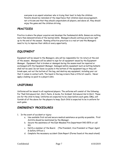everyone is an unpaid volunteer who is trying their best to help the children. Parents should be reminded of the importance that children need encouragement, not criticism and that they should congratulate all players, and above all, they should enjoy the game and the children striving.

## <span id="page-6-0"></span>*PRACTICES*

Practice is where the player acquires and develops the fundamental skills. Games are nothing more than demonstrations of the learned skills. Managers should continue practices right up to the end of the season. Running effective practices is a real art and the Managers need to try to improve their skills at every opportunity.

## <span id="page-6-1"></span>*EQUIPMENT*

Equipment will be issued to the Managers, who will be responsible for its return at the end of the season. Managers will be asked to sign for all equipment issued by the Equipment Manager. Equipment that is broken or damaged during the season must be repaired or exchanged with the Equipment Manager. Damaged safety equipment such as batting helmets shall not be used. Do not leave ice packs in the bottom of the equipment bag or they will break open, eat out the bottom of the bag, and destroy any equipment, including your car that it comes in contact with. The liquid in the bag is more than a little bit caustic. Never apply a leaking ice pack to a player's skin.

## <span id="page-6-2"></span>*UNIFORMS*

Uniforms will be issued to all registered players. The uniforms will consist of the following: For Tball Intramural Hat, Shirt, Pants, & Socks, For Kickball: Intramural Hat & Shirt. These are for the child to keep. Uniforms are expected to be clean before each game. EMLL will furnish all of the above for the players to keep. Each Child is expected to be in uniform for each game.

### <span id="page-6-3"></span>*EMERGENCY PROCEDURES*

- 1. In the event of accident or injury:
	- a. Use available first aid and secure medical assistance as quickly as possible. First Aid Kits should be maintained by the Manager.
	- b. Secure the assistance of the East Meadow Fire Department 542-0576 or call 911.
	- c. Notify a member of the Board. (The President, Vice President or Player Agent & Safety Officer.)
	- d. Complete the necessary accident Claim Report (Forms found at the snack stand)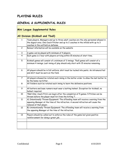# <span id="page-7-0"></span>**PLAYING RULES**

<span id="page-7-2"></span>Г

## <span id="page-7-1"></span>*GENERAL & SUPPLEMENTAL RULES*

<span id="page-7-3"></span>

| Mini League Supplemental Rules<br>All Division (Kickball and Tball) |                                                                                                                                                                                                        |  |  |  |
|---------------------------------------------------------------------|--------------------------------------------------------------------------------------------------------------------------------------------------------------------------------------------------------|--|--|--|
|                                                                     |                                                                                                                                                                                                        |  |  |  |
| $\overline{c}$                                                      | Rainout information will be available on the website                                                                                                                                                   |  |  |  |
| 3                                                                   | A game can be played with minimum of 4 players.                                                                                                                                                        |  |  |  |
| $\overline{\mathbf{4}}$                                             | Each game is 1 hour with players arriving within 15 minutes of start time.                                                                                                                             |  |  |  |
| 5                                                                   | Kickball games will consist of a minimum of 3 innings. Tball games will consist of a<br>minimum 4 innings. Last inning of play should only start with 15 minutes remaining.                            |  |  |  |
| 6                                                                   | All players should be in full uniform; shirt must be tucked into pants. An intramural hat<br>and shirt must be worn on the field.                                                                      |  |  |  |
| 7                                                                   | All players showed be rotated each inning in the batter order to allow the last batter to<br>be the home run hitter.                                                                                   |  |  |  |
| 8                                                                   | All fielders such be rotated each inning to learn the defensive positions.                                                                                                                             |  |  |  |
| 9                                                                   | All batters and base runners must wear a batting helmet. Exception for kickball, no<br>helmet required.                                                                                                |  |  |  |
| 10                                                                  | TBall Only: Coach Pitch can begin after the completion of 5 games. 5 Pitches can be<br>thrown before the player must hit from the hitting T.                                                           |  |  |  |
| 11                                                                  | A) Intentionally Thrown Equipment: The offending team will receive a warning from the<br>opposing Manager at the time of the infraction. A second infraction will cause the<br>removal of that player. |  |  |  |
| 12                                                                  | B) Unintentionally Thrown Equipment: The offending team will receive a warning from<br>the opposing Manager at the time of the infraction.                                                             |  |  |  |
| 13                                                                  | Players should be called out to enforce the rules of the game but given positive<br>reinforcement for doing a great job.                                                                               |  |  |  |
|                                                                     |                                                                                                                                                                                                        |  |  |  |

┑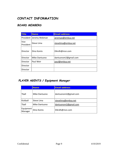# <span id="page-8-0"></span>**CONTACT INFORMATION**

## <span id="page-8-1"></span>*BOARD MEMBERS*

| <b>Title</b>      | <b>Name</b>   | <b>Email address</b> |
|-------------------|---------------|----------------------|
| President         | Jeremy Webman | jeremyw@embsa.net    |
| Vice<br>President | Steve Lima    | stevelima@embsa.net  |
| <b>Director</b>   | Dino Komis    | Dikrdh@msn.com       |
| <b>Director</b>   | Mike Dantuono | dantuonom2@gmail.com |
| Director          | Paul Weir     | paul@embsa.net       |
| Director          |               |                      |
| Director          |               |                      |

## <span id="page-8-2"></span>*PLAYER AGENTS / Equipment Manager*

|                      | <b>Name</b>   | <b>Email address</b> |
|----------------------|---------------|----------------------|
| Thall                | Mike Dantuono | dantuonom2@gmail.com |
| Kickball             | Steve Lima    | stevelima@embsa.net  |
| Thall                | Mike Dantuono | dantuonom2@gmail.com |
| Equipment<br>Manager | Dino Komis    | Dikrdh@msn.com       |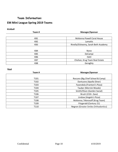# <span id="page-9-0"></span>**Team Information: EM Mini League Spring 2019 Teams**

#### **Kickball**

| Team#           | Manager/Sponsor                      |
|-----------------|--------------------------------------|
|                 |                                      |
| KB1             | McKenna Powell Coral House           |
| KB <sub>2</sub> | Lamaitis                             |
| KB3             | Rinella/Elsheemy, Sarah Beth Academy |
|                 |                                      |
| KB4             | None                                 |
| KB5             | DeCampi                              |
| KB6             | Hohl                                 |
| KB7             | Chohan, Krug Team Real Estate        |
| KB <sub>8</sub> | Geraghty                             |

#### **TBall**

| Team#             | <b>Manager/Sponsor</b>                      |
|-------------------|---------------------------------------------|
|                   |                                             |
| T <sub>101</sub>  | Roccaro (Big Chief School & Camp)           |
| T <sub>1</sub> 02 | Dantuono (Apollo Diner)                     |
| T <sub>103</sub>  | Facendola (Frantoni's Pizza)                |
| T104              | Tauber (Merrick Woods)                      |
| T <sub>105</sub>  | Smith/Olson (Garden Social)                 |
| T <sub>106</sub>  | Brush (21Dr. Zaso)                          |
| T <sub>107</sub>  | Lindow (Angelo's Pizza)                     |
| T <sub>108</sub>  | McKenna / Morosoff (Krug Team)              |
| T <sub>109</sub>  | Fitzgerald (Century 21)                     |
| T110              | <b>Negron (Greater Smiles Orthodontics)</b> |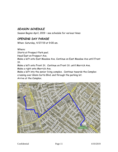## <span id="page-10-0"></span>*SEASON SCHEDULE*

Season Begins April, 2019 – see schedule for various times

## <span id="page-10-1"></span>*OPENING DAY PARADE*

When: Saturday, 4/27/19 at 9:00 am.

Where:

Starts at Prospect Park pool.

Head East on Prospect Ave.

Make a left onto East Meadow Ave. Continue on East Meadow Ave until Front St.

Make a left onto Front St. Continue on Front St. until Merrick Ave. Make a right onto Merrick Ave.

Make a left into the senior living complex. Continue towards the Complex crossing over Glenn Curtis Blvd. and through the parking lot.

Arrive at the Complex.

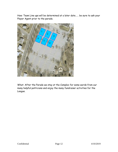How: Team Line ups will be determined at a later date…… be sure to ask your Player Agent prior to the parade.



What: After the Parade we stay at the Complex for some words from our many helpful politicians and enjoy the many fundraiser activities for the League.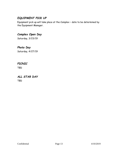## <span id="page-12-0"></span>*EQUIPMENT PICK UP*

Equipment pick up will take place at the Complex – date to be determined by the Equipment Manager.

# <span id="page-12-1"></span>*Complex Open Day*

Saturday, 3/23/19

## <span id="page-12-2"></span>*Photo Day*

Saturday, 4/27/19

#### <span id="page-12-3"></span>*PICNIC*

TBD

## <span id="page-12-4"></span>*ALL STAR DAY*

TBD